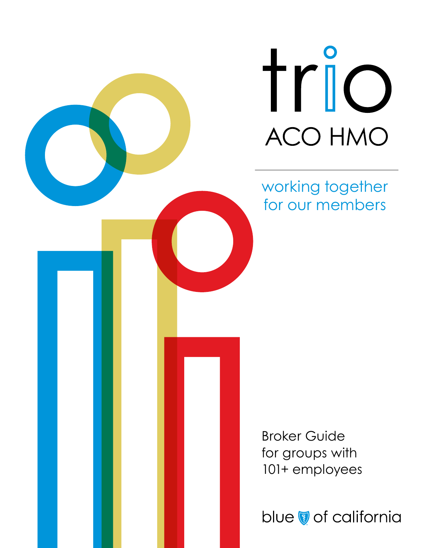trio ACO HMO

working together for our members

Broker Guide for groups with 101+ employees

blue of california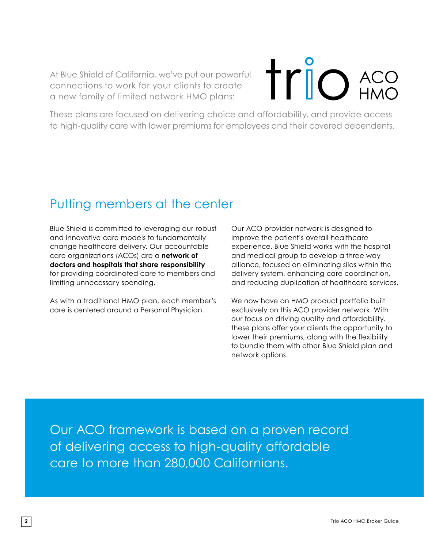At Blue Shield of California, we've put our powerful connections to work for your clients to create a new family of limited network HMO plans:

# **trio** ACO

These plans are focused on delivering choice and affordability, and provide access to high-quality care with lower premiums for employees and their covered dependents.

# Putting members at the center

Blue Shield is committed to leveraging our robust and innovative care models to fundamentally change healthcare delivery. Our accountable care organizations (ACOs) are a **network of doctors and hospitals that share responsibility** for providing coordinated care to members and limiting unnecessary spending.

As with a traditional HMO plan, each member's care is centered around a Personal Physician.

Our ACO provider network is designed to improve the patient's overall healthcare experience. Blue Shield works with the hospital and medical group to develop a three way alliance, focused on eliminating silos within the delivery system, enhancing care coordination, and reducing duplication of healthcare services.

We now have an HMO product portfolio built exclusively on this ACO provider network. With our focus on driving quality and affordability, these plans offer your clients the opportunity to lower their premiums, along with the flexibility to bundle them with other Blue Shield plan and network options.

Our ACO framework is based on a proven record of delivering access to high-quality affordable care to more than 280,000 Californians.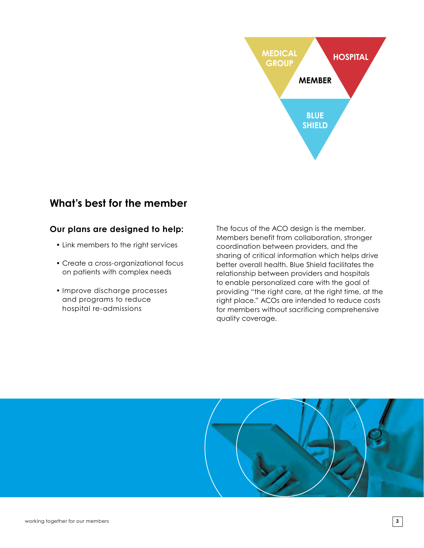

#### **What's best for the member**

#### **Our plans are designed to help:**

- Link members to the right services
- Create a cross-organizational focus on patients with complex needs
- Improve discharge processes and programs to reduce hospital re-admissions

The focus of the ACO design is the member. Members benefit from collaboration, stronger coordination between providers, and the sharing of critical information which helps drive better overall health. Blue Shield facilitates the relationship between providers and hospitals to enable personalized care with the goal of providing "the right care, at the right time, at the right place." ACOs are intended to reduce costs for members without sacrificing comprehensive quality coverage.

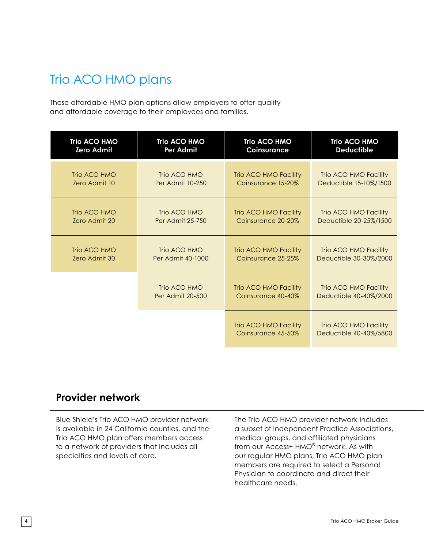# Trio ACO HMO plans

These affordable HMO plan options allow employers to offer quality and affordable coverage to their employees and families.

| <b>Trio ACO HMO</b> | <b>Trio ACO HMO</b>     | <b>Trio ACO HMO</b>                         | <b>Trio ACO HMO</b>                             |
|---------------------|-------------------------|---------------------------------------------|-------------------------------------------------|
| <b>Zero Admit</b>   | Per Admit               | Coinsurance                                 | <b>Deductible</b>                               |
| Trio ACO HMO        | Trio ACO HMO            | Trio ACO HMO Facility                       | Trio ACO HMO Facility                           |
| Zero Admit 10       | <b>Per Admit 10-250</b> | Coinsurance 15-20%                          | Deductible 15-10%/1500                          |
| Trio ACO HMO        | Trio ACO HMO            | Trio ACO HMO Facility                       | Trio ACO HMO Facility                           |
| Zero Admit 20       | <b>Per Admit 25-750</b> | Coinsurance 20-20%                          | Deductible 20-25%/1500                          |
| Trio ACO HMO        | Trio ACO HMO            | Trio ACO HMO Facility                       | Trio ACO HMO Facility                           |
| Zero Admit 30       | Per Admit 40-1000       | Coinsurance 25-25%                          | Deductible 30-30%/2000                          |
|                     | Trio ACO HMO            | Trio ACO HMO Facility                       | Trio ACO HMO Facility                           |
|                     | <b>Per Admit 20-500</b> | Coinsurance 40-40%                          | Deductible 40-40%/2000                          |
|                     |                         | Trio ACO HMO Facility<br>Coinsurance 45-50% | Trio ACO HMO Facility<br>Deductible 40-40%/5800 |

#### **Provider network**

Blue Shield's Trio ACO HMO provider network is available in 24 California counties, and the Trio ACO HMO plan offers members access to a network of providers that includes all specialties and levels of care.

The Trio ACO HMO provider network includes a subset of Independent Practice Associations, medical groups, and affiliated physicians from our Access+ HMO® network. As with our regular HMO plans, Trio ACO HMO plan members are required to select a Personal Physician to coordinate and direct their healthcare needs.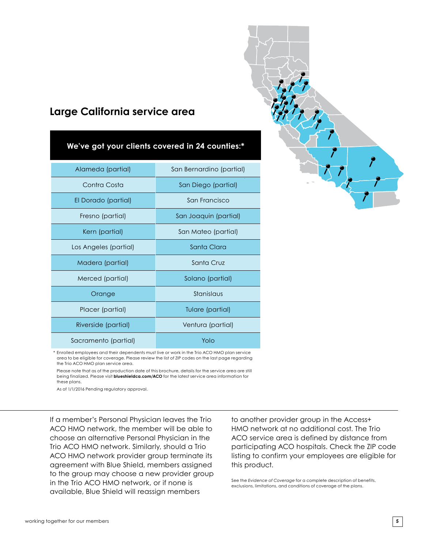### **Large California service area**

| We've got your clients covered in 24 counties:* |                          |  |  |  |
|-------------------------------------------------|--------------------------|--|--|--|
| Alameda (partial)                               | San Bernardino (partial) |  |  |  |
| Contra Costa                                    | San Diego (partial)      |  |  |  |
| El Dorado (partial)                             | San Francisco            |  |  |  |
| Fresno (partial)                                | San Joaquin (partial)    |  |  |  |
| Kern (partial)                                  | San Mateo (partial)      |  |  |  |
| Los Angeles (partial)                           | Santa Clara              |  |  |  |
| Madera (partial)                                | Santa Cruz               |  |  |  |
| Merced (partial)                                | Solano (partial)         |  |  |  |
| Orange                                          | Stanislaus               |  |  |  |
| Placer (partial)                                | Tulare (partial)         |  |  |  |
| Riverside (partial)                             | Ventura (partial)        |  |  |  |
| Sacramento (partial)                            | Yolo                     |  |  |  |
|                                                 |                          |  |  |  |

\* Enrolled employees and their dependents must live or work in the Trio ACO HMO plan service area to be eligible for coverage. Please review the list of ZIP codes on the last page regarding the Trio ACO HMO plan service area.

 Please note that as of the production date of this brochure, details for the service area are still being finalized. Please visit **blueshieldca.com/ACO** for the latest service area information for these plans.

As of 1/1/2016 Pending regulatory approval.

If a member's Personal Physician leaves the Trio ACO HMO network, the member will be able to choose an alternative Personal Physician in the Trio ACO HMO network. Similarly, should a Trio ACO HMO network provider group terminate its agreement with Blue Shield, members assigned to the group may choose a new provider group in the Trio ACO HMO network, or if none is available, Blue Shield will reassign members

to another provider group in the Access+ HMO network at no additional cost. The Trio ACO service area is defined by distance from participating ACO hospitals. Check the ZIP code listing to confirm your employees are eligible for this product.

See the *Evidence of Coverage* for a complete description of benefits, exclusions, limitations, and conditions of coverage of the plans.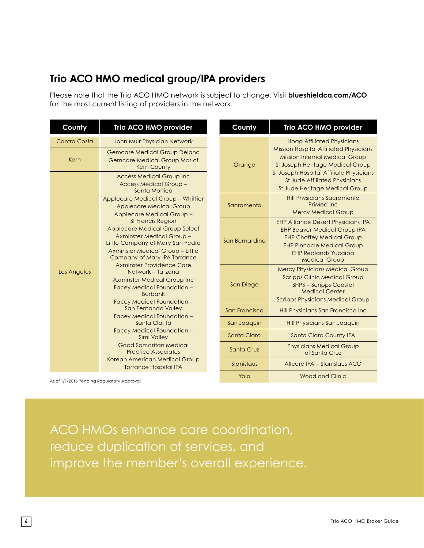## **Trio ACO HMO medical group/IPA providers**

Please note that the Trio ACO HMO network is subject to change. Visit **blueshieldca.com/ACO** for the most current listing of providers in the network.

| County       | Trio ACO HMO provider                                                                                                                                                                                                                                                                                                                                                                                                                                                                                                                                                                                       |  | County         | Trio ACO HMO provider                                                                                                                                                                                                                    |
|--------------|-------------------------------------------------------------------------------------------------------------------------------------------------------------------------------------------------------------------------------------------------------------------------------------------------------------------------------------------------------------------------------------------------------------------------------------------------------------------------------------------------------------------------------------------------------------------------------------------------------------|--|----------------|------------------------------------------------------------------------------------------------------------------------------------------------------------------------------------------------------------------------------------------|
| Contra Costa | John Muir Physician Network                                                                                                                                                                                                                                                                                                                                                                                                                                                                                                                                                                                 |  |                | <b>Hoag Affiliated Physicians</b>                                                                                                                                                                                                        |
| Kern         | <b>Gemcare Medical Group Delano</b><br><b>Gemcare Medical Group Mcs of</b><br><b>Kern County</b><br><b>Access Medical Group Inc</b><br><b>Access Medical Group -</b><br>Santa Monica                                                                                                                                                                                                                                                                                                                                                                                                                        |  | Orange         | <b>Mission Hospital Affiliated Physicians</b><br><b>Mission Internal Medical Group</b><br>St Joseph Heritage Medical Group<br>St Joseph Hospital Affiliate Physicians<br>St Jude Affiliated Physicians<br>St Jude Heritage Medical Group |
|              |                                                                                                                                                                                                                                                                                                                                                                                                                                                                                                                                                                                                             |  |                |                                                                                                                                                                                                                                          |
|              | Applecare Medical Group - Whittier<br><b>Applecare Medical Group</b><br>Applecare Medical Group -<br><b>St Francis Region</b><br>Applecare Medical Group Select<br><b>Axminster Medical Group -</b><br>Little Company of Mary San Pedro<br>Axminster Medical Group - Little<br>Company of Mary IPA Torrance<br><b>Axminster Providence Care</b><br>Network - Tarzana<br><b>Axminster Medical Group Inc</b><br>Facey Medical Foundation -<br><b>Burbank</b><br>Facey Medical Foundation -<br>San Fernando Valley<br>Facey Medical Foundation -<br>Santa Clarita<br>Facey Medical Foundation -<br>Simi Valley |  | Sacramento     | <b>Hill Physicians Sacramento</b><br>PriMed Inc.<br><b>Mercy Medical Group</b>                                                                                                                                                           |
|              |                                                                                                                                                                                                                                                                                                                                                                                                                                                                                                                                                                                                             |  | San Bernardino | <b>EHP Alliance Desert Physicians IPA</b><br><b>EHP Beaver Medical Group IPA</b><br><b>EHP Chaffey Medical Group</b><br><b>EHP Pinnacle Medical Group</b><br><b>EHP Redlands Yucaipa</b><br><b>Medical Group</b>                         |
| Los Angeles  |                                                                                                                                                                                                                                                                                                                                                                                                                                                                                                                                                                                                             |  | San Diego      | <b>Mercy Physicians Medical Group</b><br><b>Scripps Clinic Medical Group</b><br><b>SHPS - Scripps Coastal</b><br><b>Medical Center</b><br><b>Scripps Physicians Medical Group</b>                                                        |
|              |                                                                                                                                                                                                                                                                                                                                                                                                                                                                                                                                                                                                             |  | San Francisco  | Hill Physicians San Francisco Inc                                                                                                                                                                                                        |
|              |                                                                                                                                                                                                                                                                                                                                                                                                                                                                                                                                                                                                             |  | San Joaquin    | Hill Physicians San Joaquin                                                                                                                                                                                                              |
|              |                                                                                                                                                                                                                                                                                                                                                                                                                                                                                                                                                                                                             |  | Santa Clara    | Santa Clara County IPA                                                                                                                                                                                                                   |
|              | <b>Good Samaritan Medical</b><br><b>Practice Associates</b><br>Korean American Medical Group<br><b>Torrance Hospital IPA</b>                                                                                                                                                                                                                                                                                                                                                                                                                                                                                |  | Santa Cruz     | <b>Physicians Medical Group</b><br>of Santa Cruz                                                                                                                                                                                         |
|              |                                                                                                                                                                                                                                                                                                                                                                                                                                                                                                                                                                                                             |  | Stanislaus     | Allcare IPA - Stanislaus ACO                                                                                                                                                                                                             |
|              |                                                                                                                                                                                                                                                                                                                                                                                                                                                                                                                                                                                                             |  | Yolo           | <b>Woodland Clinic</b>                                                                                                                                                                                                                   |

As of 1/1/2016 Pending Regulatory Approval

ACO HMOs enhance care coordination, reduce duplication of services, and improve the member's overall experience.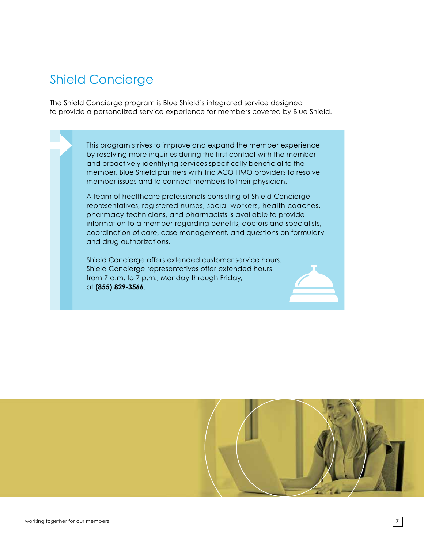# Shield Concierge

The Shield Concierge program is Blue Shield's integrated service designed to provide a personalized service experience for members covered by Blue Shield.

> This program strives to improve and expand the member experience by resolving more inquiries during the first contact with the member and proactively identifying services specifically beneficial to the member. Blue Shield partners with Trio ACO HMO providers to resolve member issues and to connect members to their physician.

 A team of healthcare professionals consisting of Shield Concierge representatives, registered nurses, social workers, health coaches, pharmacy technicians, and pharmacists is available to provide information to a member regarding benefits, doctors and specialists, coordination of care, case management, and questions on formulary and drug authorizations.

Shield Concierge offers extended customer service hours. Shield Concierge representatives offer extended hours from 7 a.m. to 7 p.m., Monday through Friday, at **(855) 829-3566**.



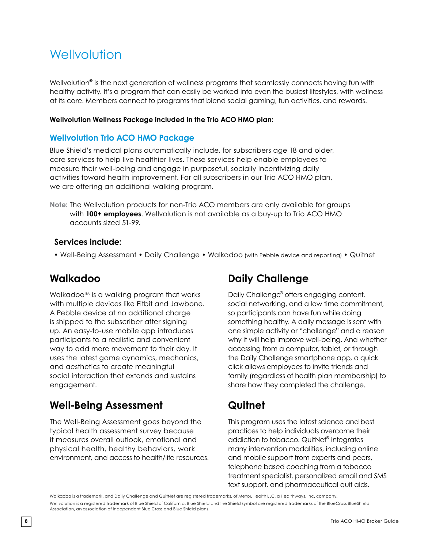# **Wellvolution**

Wellvolution<sup>®</sup> is the next generation of wellness programs that seamlessly connects having fun with healthy activity. It's a program that can easily be worked into even the busiest lifestyles, with wellness at its core. Members connect to programs that blend social gaming, fun activities, and rewards.

#### **Wellvolution Wellness Package included in the Trio ACO HMO plan:**

#### **Wellvolution Trio ACO HMO Package**

Blue Shield's medical plans automatically include, for subscribers age 18 and older, core services to help live healthier lives. These services help enable employees to measure their well-being and engage in purposeful, socially incentivizing daily activities toward health improvement. For all subscribers in our Trio ACO HMO plan, we are offering an additional walking program.

**Note:** The Wellvolution products for non-Trio ACO members are only available for groups with **100+ employees**. Wellvolution is not available as a buy-up to Trio ACO HMO accounts sized 51-99.

#### **Services include:**

• Well-Being Assessment • Daily Challenge • Walkadoo (with Pebble device and reporting) • Quitnet

#### **Walkadoo**

Walkadoo<sup>™</sup> is a walking program that works with multiple devices like Fitbit and Jawbone. A Pebble device at no additional charge is shipped to the subscriber after signing up. An easy-to-use mobile app introduces participants to a realistic and convenient way to add more movement to their day. It uses the latest game dynamics, mechanics, and aesthetics to create meaningful social interaction that extends and sustains engagement.

#### **Well-Being Assessment**

The Well-Being Assessment goes beyond the typical health assessment survey because it measures overall outlook, emotional and physical health, healthy behaviors, work environment, and access to health/life resources.

#### **Daily Challenge**

Daily Challenge<sup>®</sup> offers engaging content, social networking, and a low time commitment, so participants can have fun while doing something healthy. A daily message is sent with one simple activity or "challenge" and a reason why it will help improve well-being. And whether accessing from a computer, tablet, or through the Daily Challenge smartphone app, a quick click allows employees to invite friends and family (regardless of health plan membership) to share how they completed the challenge.

## **Quitnet**

This program uses the latest science and best practices to help individuals overcome their addiction to tobacco. QuitNet<sup>®</sup> integrates many intervention modalities, including online and mobile support from experts and peers, telephone based coaching from a tobacco treatment specialist, personalized email and SMS text support, and pharmaceutical quit aids.

Walkadoo is a trademark, and Daily Challenge and QuitNet are registered trademarks, of MeYouHealth LLC, a Healthways, Inc. company. Wellvolution is a registered trademark of Blue Shield of California. Blue Shield and the Shield symbol are registered trademarks of the BlueCross BlueShield Association, an association of independent Blue Cross and Blue Shield plans.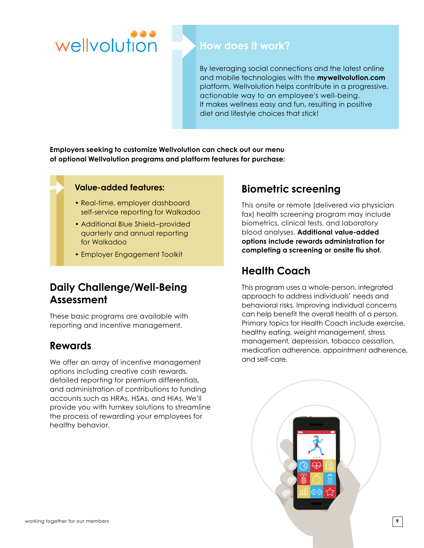

#### **How does it work?**

By leveraging social connections and the latest online and mobile technologies with the **mywellvolution.com** platform, Wellvolution helps contribute in a progressive, actionable way to an employee's well-being. It makes wellness easy and fun, resulting in positive diet and lifestyle choices that stick!

**Employers seeking to customize Wellvolution can check out our menu of optional Wellvolution programs and platform features for purchase:**

#### **Value-added features:**

- Real-time, employer dashboard self-service reporting for Walkadoo
- Additional Blue Shield–provided quarterly and annual reporting for Walkadoo
- Employer Engagement Toolkit

#### **Daily Challenge/Well-Being Assessment**

These basic programs are available with reporting and incentive management.

#### **Rewards**

We offer an array of incentive management options including creative cash rewards, detailed reporting for premium differentials, and administration of contributions to funding accounts such as HRAs, HSAs, and HIAs. We'll provide you with turnkey solutions to streamline the process of rewarding your employees for healthy behavior.

## **Biometric screening**

This onsite or remote (delivered via physician fax) health screening program may include biometrics, clinical tests, and laboratory blood analyses. **Additional value-added options include rewards administration for completing a screening or onsite flu shot.**

## **Health Coach**

This program uses a whole-person, integrated approach to address individuals' needs and behavioral risks. Improving individual concerns can help benefit the overall health of a person. Primary topics for Health Coach include exercise, healthy eating, weight management, stress management, depression, tobacco cessation, medication adherence, appointment adherence, and self-care.

working together for our members **9**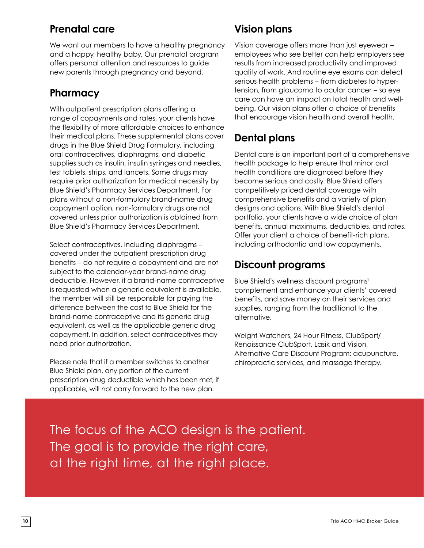### **Prenatal care**

We want our members to have a healthy pregnancy and a happy, healthy baby. Our prenatal program offers personal attention and resources to guide new parents through pregnancy and beyond.

## **Pharmacy**

With outpatient prescription plans offering a range of copayments and rates, your clients have the flexibility of more affordable choices to enhance their medical plans. These supplemental plans cover drugs in the Blue Shield Drug Formulary, including oral contraceptives, diaphragms, and diabetic supplies such as insulin, insulin syringes and needles, test tablets, strips, and lancets. Some drugs may require prior authorization for medical necessity by Blue Shield's Pharmacy Services Department. For plans without a non-formulary brand-name drug copayment option, non-formulary drugs are not covered unless prior authorization is obtained from Blue Shield's Pharmacy Services Department.

Select contraceptives, including diaphragms – covered under the outpatient prescription drug benefits – do not require a copayment and are not subject to the calendar-year brand-name drug deductible. However, if a brand-name contraceptive is requested when a generic equivalent is available, the member will still be responsible for paying the difference between the cost to Blue Shield for the brand-name contraceptive and its generic drug equivalent, as well as the applicable generic drug copayment. In addition, select contraceptives may need prior authorization.

Please note that if a member switches to another Blue Shield plan, any portion of the current prescription drug deductible which has been met, if applicable, will not carry forward to the new plan.

# **Vision plans**

Vision coverage offers more than just eyewear – employees who see better can help employers see results from increased productivity and improved quality of work. And routine eye exams can detect serious health problems − from diabetes to hypertension, from glaucoma to ocular cancer – so eye care can have an impact on total health and wellbeing. Our vision plans offer a choice of benefits that encourage vision health and overall health.

# **Dental plans**

Dental care is an important part of a comprehensive health package to help ensure that minor oral health conditions are diagnosed before they become serious and costly. Blue Shield offers competitively priced dental coverage with comprehensive benefits and a variety of plan designs and options. With Blue Shield's dental portfolio, your clients have a wide choice of plan benefits, annual maximums, deductibles, and rates. Offer your client a choice of benefit-rich plans, including orthodontia and low copayments.

## **Discount programs**

Blue Shield's wellness discount programs<sup>1</sup> complement and enhance your clients' covered benefits, and save money on their services and supplies, ranging from the traditional to the alternative.

Weight Watchers, 24 Hour Fitness, ClubSport/ Renaissance ClubSport, Lasik and Vision, Alternative Care Discount Program: acupuncture, chiropractic services, and massage therapy.

The focus of the ACO design is the patient. The goal is to provide the right care, at the right time, at the right place.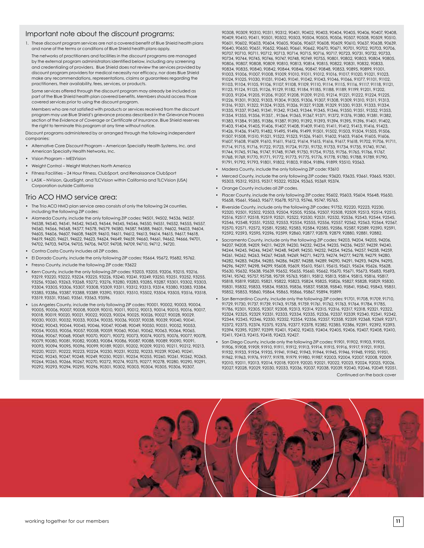#### Important note about the discount programs:

1. These discount program services are not a covered benefit of Blue Shield health plans and none of the terms or conditions of Blue Shield health plans apply.

 The networks of practitioners and facilities in the discount programs are managed by the external program administrators identified below, including any screening and credentialing of providers. Blue Shield does not review the services provided by discount program providers for medical necessity nor efficacy, nor does Blue Shield make any recommendations, representations, claims or guarantees regarding the practitioners, their availability, fees, services, or products.

 Some services offered through the discount program may already be included as part of the Blue Shield health plan covered benefits. Members should access those covered services prior to using the discount program.

 Members who are not satisfied with products or services received from the discount program may use Blue Shield's grievance process described in the Grievance Process section of the *Evidence of Coverage* or *Certificate of Insurance*. Blue Shield reserves the right to terminate this program at any time without notice.

Discount programs administered by or arranged through the following independent companies:

- Alternative Care Discount Program American Specialty Health Systems, Inc. and American Specialty Health Networks, Inc.
- Vision Program MESVision
- Weight Control Weight Watchers North America
- Fitness Facilities 24 Hour Fitness, ClubSport, and Renaissance ClubSport
- LASIK NVision, QualSight, and TLCVision within California and TLCVision (USA) Corporation outside California

#### Trio ACO HMO service area:

- The Trio ACO HMO plan service area consists of only the following 24 counties, including the following ZIP codes:
- Alameda County, include the only following ZIP codes: 94501, 94502, 94536, 94537, 94538, 94540, 94541, 94542, 94543, 94544, 94545, 94546, 94550, 94551, 94552, 94555, 94557, 94560, 94566, 94568, 94577, 94578, 94579, 94580, 94587, 94588, 94601, 94602, 94603, 94604, 94605, 94606, 94607, 94608, 94609, 94610, 94611, 94612, 94613, 94614, 94615, 94617, 94618, 94619, 94620, 94621, 94622, 94623, 94624, 94649, 94659, 94660, 94661, 94662, 94666, 94701, 94702, 94703, 94704, 94705, 94706, 94707, 94708, 94709, 94710, 94712 , 94720.
- Contra Costa County includes all ZIP codes.
- El Dorado County, include the only following ZIP codes: 95664, 95672, 95682, 95762.
- Fresno County, include the following ZIP code: 93622
- Kern County, include the only following ZIP codes: 93203, 93205, 93206, 93215, 93216, 93219, 93220, 93222, 93224, 93225, 93226, 93240, 93241, 93249, 93250, 93251, 93252, 93255, 93256, 93260, 93263, 93268, 93272, 93276, 93280, 93283, 93285, 93287, 93301, 93302, 93303,<br>93304, 93305, 93306, 93307, 93308, 93309, 93311, 93312, 93313, 93314, 93380, 93383, 93384, 93385, 93386, 93387, 93388, 93389, 93390, 93501, 93510, 93502, 93504, 93505, 93516, 93518, 93519, 93531, 93560, 93561, 93563, 93596.
- Los Angeles County, include the only following ZIP codes: 90001, 90002, 90003, 90004, 90005, 90006, 90007, 90008, 90009, 90010, 90011, 90012, 90013, 90014, 90015, 90016, 90017, 90018, 90019, 90020, 90021, 90022, 90023, 90024, 90025, 90026, 90027, 90028, 90029, 90030, 90031, 90032, 90033, 90034, 90035, 90036, 90037, 90038, 90039, 90040, 90041, 90042, 90043, 90044, 90045, 90046, 90047, 90048, 90049, 90050, 90051, 90052, 90053, 90054, 90055, 90056, 90057, 90058, 90059, 90060, 90061, 90062, 90063, 90064, 90065, 90066, 90067, 90068, 90069, 90070, 90071, 90072, 90073, 90074, 90075, 90076, 90077, 90078, 90079, 90080, 90081, 90082, 90083, 90084, 90086, 90087, 90088, 90089, 90090, 90091, 90093, 90094, 90095, 90096, 90099, 90189, 90201, 90202, 90209, 90210, 90211, 90212, 90213, 90220, 90221, 90222, 90223, 90224, 90230, 90231, 90232, 90233, 90239, 90240, 90241, 90242, 90245, 90247, 90248, 90249, 90250, 90251, 90254, 90255, 90260, 90261, 90262, 90263, 90264, 90265, 90266, 90267, 90270, 90272, 90274, 90275, 90277, 90278, 90280, 90290, 90291, 90292, 90293, 90294, 90295, 90296, 90301, 90302, 90303, 90304, 90305, 90306, 90307,

90308, 90309, 90310, 90311, 90312, 90401, 90402, 90403, 90404, 90405, 90406, 90407, 90408, 90409, 90410, 90411, 90501, 90502, 90503, 90504, 90505, 90506, 90507, 90508, 90509, 90510, 90601, 90602, 90603, 90604, 90605, 90606, 90607, 90608, 90609, 90610, 90637, 90638, 90639, 90640, 90650, 90651, 90652, 90660, 90661, 90662, 90670, 90671, 90701, 90702, 90703, 90706, 90707, 90710, 90711, 90712, 90713, 90714, 90715, 90716, 90717, 90723, 90731, 90732, 90733, 90734, 90744, 90745, 90746, 90747, 90748, 90749, 90755, 90801, 90802, 90803, 90804, 90805, 90806, 90807, 90808, 90809, 90810, 90813, 90814, 90815, 90822, 90831, 90832, 90833, 90834, 90835, 90840, 90842, 90844, 90846, 90847, 90848, 90853, 90895, 90899, 91001, 91003, 91006, 91007, 91008, 91009, 91010, 91011, 91012, 91016, 91017, 91020, 91021, 91023, 91024, 91025, 91030, 91031, 91040, 91041, 91042, 91043, 91046, 91066, 91077, 91101, 91102, 91103, 91104, 91105, 91106, 91107, 91108, 91109, 91110, 91114, 91115, 91116, 91117, 91118, 91121, 91123, 91124, 91125, 91126, 91129, 91182, 91184, 91185, 91188, 91189, 91199, 91201, 91202, 91203, 91204, 91205, 91206, 91207, 91208, 91209, 91210, 91214, 91221, 91222, 91224, 91225, 91226, 91301, 91302, 91303, 91304, 91305, 91306, 91307, 91308, 91309, 91310, 91311, 91313, 91316, 91321, 91322, 91324, 91325, 91326, 91327, 91328, 91329, 91330, 91331, 91333, 91334, 91335, 91337, 91340, 91341, 91342, 91343, 91344, 91345, 91346, 91350, 91351, 91352, 91353, 91354, 91355, 91356, 91357, , 91364, 91365, 91367, 91371, 91372, 91376, 91380, 91381, 91382, 91383, 91384, 91385, 91386, 91387, 91390, 91392, 91393, 91394, 91395, 91396, 91401, 91402, 91403, 91404, 91405, 91406, 91407, 91408, 91409, 91410, 91411, 91412, 91413, 91416, 91423, 91426, 91436, 91470, 91482, 91495, 91496, 91499, 91501, 91502, 91503, 91504, 91505, 91506, 91507, 91508, 91510, 91521, 91522, 91523, 91526, 91601, 91602, 91603, 91604, 91605, 91606, 91607, 91608, 91609, 91610, 91611, 91612, 91614, 91615, 91616, 91617, 91618, 91702, 91706, 91711, 91714, 91715, 91716, 91722, 91723, 91724, 91731, 91732, 91733, 91734, 91735, 91740, 91741, 91744, 91745, 91746, 91747, 91748, 91749, 91750, 91754, 91755, 91756, 91765, 91766, 91767, 91768, 91769, 91770, 91771, 91772, 91773, 91775, 91776, 91778, 91780, 91788, 91789, 91790, 91791, 91792, 91793, 91801, 91802, 91803, 91804, 91896, 91899, 93510, 93563.

- Madera County, include the only following ZIP code: 93610
- Merced County, include the only following ZIP codes: 93620, 93635, 93661, 93665, 95301, 95303, 95312, 95315, 95317, 95322, 95324, 95365, 95369, 95374.
- Orange County includes all ZIP codes.
- Placer County, include the only following ZIP codes: 95602, 95603, 95604, 95648, 95650, 95658, 95661, 95663, 95677, 95678, 95713, 95746, 95747, 95765.
- Riverside County, include only the following ZIP codes: 91752, 92220, 92223, 92230, 92320, 92501, 92502, 92503, 92504, 92505, 92506, 92507, 92508, 92509, 92513, 92514, 92515, 92516, 92517, 92518, 92519, 92521, 92522, 92530, 92531, 92532, 92536, 92543, 92544, 92545, 92546, 92548, 92551, 92552, 92553, 92554, 92555, 92556, 92557, 92562, 92563, 92564, 92567, 92570, 92571, 92572, 92581, 92582, 92583, 92584, 92585, 92586, 92587, 92589, 92590, 92591, 92592, 92593, 92595, 92596, 92599, 92860, 92877, 92878, 92879, 92880, 92881, 92882.
- Sacramento County, include only the following ZIP codes: 94203, 94204, 94205, 94206, 94207, 94208, 94209, 94211, 94229, 94230, 94232, 94234, 94235, 94236, 94237, 94239, 94240, 94244, 94245, 94246, 94247, 94248, 94249, 94250, 94252, 94254, 94256, 94257, 94258, 94259, 94261, 94262, 94263, 94267, 94268, 94269, 94271, 94273, 94274, 94277, 94278, 94279, 94280, 94282, 94283, 94284, 94285, 94286, 94287, 94288, 94289, 94290, 94291, 94293, 94294, 94295, 94296, 94297, 94298, 94299, 95608, 95609, 95610, 95611, 95615, 95621, 95624, 95626, 95628, 95630, 95632, 95638, 95639, 95652, 95655, 95660, 95662, 95670, 95671, 95673, 95683, 95693, 95741, 95742, 95757, 95758, 95759, 95763, 95811, 95812, 95813, 95814, 95815, 95816, 95817, 95818, 95819, 95820, 95821, 95822, 95823, 95824, 95825, 95826, 95827, 95828, 95829, 95830, 95831, 95832, 95833, 95834, 95835, 95836, 95837, 95838, 95840, 95841, 95842, 95843, 95851, 95852, 95853, 95860, 95864, 95865, 95866, 95867, 95894, 95899.
- San Bernardino County, include only the following ZIP codes: 91701, 91708, 91709, 91710, 91729, 91730, 91737, 91739, 91743, 91758, 91759, 91761, 91762, 91763, 91764, 91784, 91785, 91786, 92301, 92305, 92307, 92308, 92313, 92314, 92315, 92316, 92317, 92318, 92321, 92322, 92324, 92325, 92329, 92331, 92333, 92334, 92335, 92336, 92337, 92339, 92340, 92341, 92342, 92344, 92345, 92346, 92350, 92352, 92354, 92356, 92357, 92358, 92359, 92368, 92369, 92371, 92372, 92373, 92374, 92375, 92376, 92377, 92378, 92382, 92385, 92386, 92391, 92392, 92393, 92394, 92395, 92397, 92399, 92401, 92402, 92403, 92404, 92405, 92406, 92407, 92408, 92410, 92411, 92413, 92415, 92418, 92423, 92427.
- San Diego County, include only the following ZIP codes: 91901, 91902, 91903, 91905, 91906, 91908, 91909, 91910, 91911, 91912, 91913, 91914, 91915, 91916, 91917, 91921, 91931, 91932, 91933, 91934, 91935, 91941, 91942, 91943, 91944, 91945, 91946, 91948, 91950, 91951, 91962, 91963, 91976, 91977, 91978, 91979, 91980, 91987, 92003, 92004, 92007, 92008, 92009, 92010, 92011, 92013, 92014, 92018, 92019, 92020, 92021, 92022, 92023, 92024, 92025, 92026, 92027, 92028, 92029, 92030, 92033, 92036, 92037, 92038, 92039, 92040, 92046, 92049, 92051,

Continued on the back cover